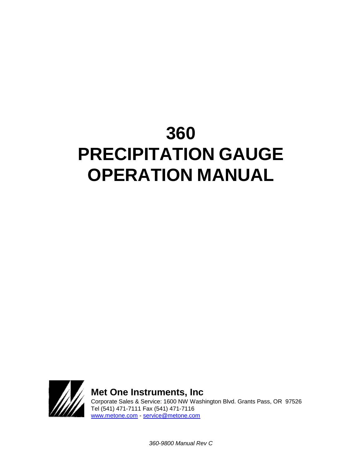# **360 PRECIPITATION GAUGE OPERATION MANUAL**



**Met One Instruments, Inc**  Corporate Sales & Service: 1600 NW Washington Blvd. Grants Pass, OR 97526 Tel (541) 471-7111 Fax (541) 471-7116 [www.metone.com](http://www.metone.com/) - [service@metone.com](mailto:service@metone.com)

*360-9800 Manual Rev C*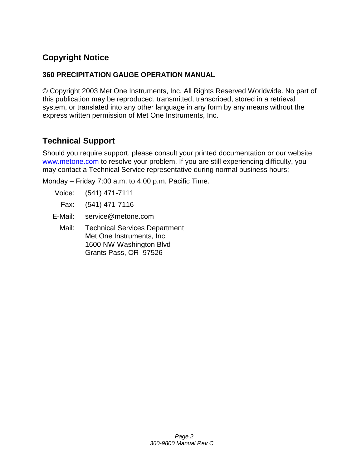## **Copyright Notice**

## **360 PRECIPITATION GAUGE OPERATION MANUAL**

© Copyright 2003 Met One Instruments, Inc. All Rights Reserved Worldwide. No part of this publication may be reproduced, transmitted, transcribed, stored in a retrieval system, or translated into any other language in any form by any means without the express written permission of Met One Instruments, Inc.

## **Technical Support**

Should you require support, please consult your printed documentation or our website [www.metone.com](http://www.metone.com/) to resolve your problem. If you are still experiencing difficulty, you may contact a Technical Service representative during normal business hours;

Monday – Friday 7:00 a.m. to 4:00 p.m. Pacific Time.

| Voice: | $(541)$ 471-7111 |
|--------|------------------|
|--------|------------------|

- Fax: (541) 471-7116
- E-Mail: service@metone.com
	- Mail: Technical Services Department Met One Instruments, Inc. 1600 NW Washington Blvd Grants Pass, OR 97526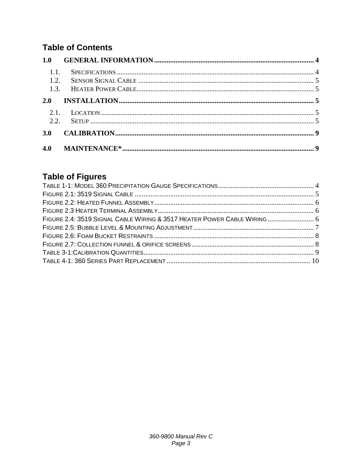# **Table of Contents**

| 1.0 <sub>l</sub> |  |
|------------------|--|
| 1.1.             |  |
| 1.2.             |  |
| 1.3.             |  |
| 2.0              |  |
|                  |  |
| 2.1.             |  |
| 2.2.             |  |
| 3.0              |  |

# **Table of Figures**

| FIGURE 2.4: 3519 SIGNAL CABLE WIRING & 3517 HEATER POWER CABLE WIRING  6 |  |
|--------------------------------------------------------------------------|--|
|                                                                          |  |
|                                                                          |  |
|                                                                          |  |
|                                                                          |  |
|                                                                          |  |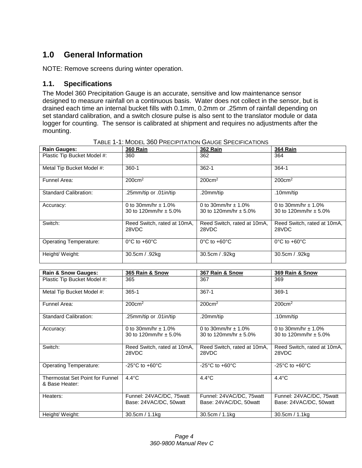## <span id="page-3-0"></span>**1.0 General Information**

NOTE: Remove screens during winter operation.

## <span id="page-3-1"></span>**1.1. Specifications**

The Model 360 Precipitation Gauge is an accurate, sensitive and low maintenance sensor designed to measure rainfall on a continuous basis. Water does not collect in the sensor, but is drained each time an internal bucket fills with 0.1mm, 0.2mm or .25mm of rainfall depending on set standard calibration, and a switch closure pulse is also sent to the translator module or data logger for counting. The sensor is calibrated at shipment and requires no adjustments after the mounting.

<span id="page-3-2"></span>

| <b>Rain Gauges:</b>           | <b>360 Rain</b>                                      | <b>362 Rain</b>                                      | <b>364 Rain</b>                                      |
|-------------------------------|------------------------------------------------------|------------------------------------------------------|------------------------------------------------------|
| Plastic Tip Bucket Model #:   | 360                                                  | 362                                                  | 364                                                  |
| Metal Tip Bucket Model #:     | $360 - 1$                                            | $362 - 1$                                            | $364 - 1$                                            |
| Funnel Area:                  | $200 \text{cm}^2$                                    | 200cm <sup>2</sup>                                   | 200cm <sup>2</sup>                                   |
| <b>Standard Calibration:</b>  | .25mm/tip or .01in/tip                               | .20mm/tip                                            | .10mm/tip                                            |
| Accuracy:                     | 0 to 30mm/hr $\pm$ 1.0%<br>30 to 120mm/hr $\pm$ 5.0% | 0 to 30mm/hr $\pm$ 1.0%<br>30 to 120mm/hr $\pm$ 5.0% | 0 to 30mm/hr $\pm$ 1.0%<br>30 to 120mm/hr $\pm$ 5.0% |
| Switch:                       | Reed Switch, rated at 10mA,<br>28VDC                 | Reed Switch, rated at 10mA,<br>28VDC                 | Reed Switch, rated at 10mA,<br>28VDC                 |
| <b>Operating Temperature:</b> | $0^{\circ}$ C to +60 $^{\circ}$ C                    | $0^{\circ}$ C to +60 $^{\circ}$ C                    | $0^{\circ}$ C to +60 $^{\circ}$ C                    |
| Height/ Weight:               | 30.5cm / .92kg                                       | 30.5cm / .92kg                                       | 30.5cm / .92kg                                       |

TABLE 1-1: MODEL 360 PRECIPITATION GAUGE SPECIFICATIONS

| <b>Rain &amp; Snow Gauges:</b>                           | 365 Rain & Snow                                      | 367 Rain & Snow                                      | 369 Rain & Snow                                      |
|----------------------------------------------------------|------------------------------------------------------|------------------------------------------------------|------------------------------------------------------|
| Plastic Tip Bucket Model #:                              | 365                                                  | 367                                                  | 369                                                  |
| Metal Tip Bucket Model #:                                | $365 - 1$                                            | $367-1$                                              | 369-1                                                |
| Funnel Area:                                             | $200 \text{cm}^2$                                    | 200cm <sup>2</sup>                                   | 200cm <sup>2</sup>                                   |
| <b>Standard Calibration:</b>                             | .25mm/tip or .01in/tip                               | .20mm/tip                                            | .10mm/tip                                            |
| Accuracy:                                                | 0 to 30mm/hr $\pm$ 1.0%<br>30 to 120mm/hr $\pm$ 5.0% | 0 to 30mm/hr $\pm$ 1.0%<br>30 to 120mm/hr $\pm$ 5.0% | 0 to 30mm/hr $\pm$ 1.0%<br>30 to 120mm/hr $\pm$ 5.0% |
| Switch:                                                  | Reed Switch, rated at 10mA,<br>28VDC                 | Reed Switch, rated at 10mA,<br>28VDC                 | Reed Switch, rated at 10mA,<br>28VDC                 |
| <b>Operating Temperature:</b>                            | $-25^{\circ}$ C to $+60^{\circ}$ C                   | $-25^{\circ}$ C to $+60^{\circ}$ C                   | $-25^{\circ}$ C to $+60^{\circ}$ C                   |
| <b>Thermostat Set Point for Funnel</b><br>& Base Heater: | $4.4^{\circ}$ C                                      | $4.4^{\circ}$ C                                      | $4.4^{\circ}$ C                                      |
| Heaters:                                                 | Funnel: 24VAC/DC, 75watt<br>Base: 24VAC/DC, 50watt   | Funnel: 24VAC/DC, 75watt<br>Base: 24VAC/DC, 50watt   | Funnel: 24VAC/DC, 75watt<br>Base: 24VAC/DC, 50watt   |
| Height/ Weight:                                          | 30.5cm / 1.1kg                                       | 30.5cm / 1.1kg                                       | 30.5cm / 1.1kg                                       |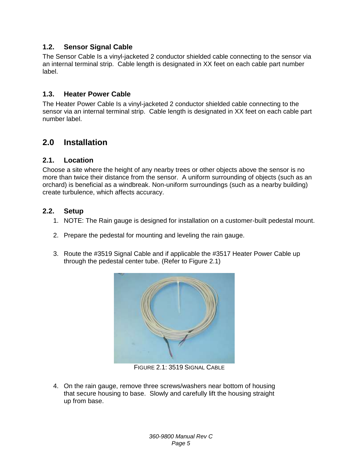### <span id="page-4-0"></span>**1.2. Sensor Signal Cable**

The Sensor Cable Is a vinyl-jacketed 2 conductor shielded cable connecting to the sensor via an internal terminal strip. Cable length is designated in XX feet on each cable part number label.

#### <span id="page-4-1"></span>**1.3. Heater Power Cable**

The Heater Power Cable Is a vinyl-jacketed 2 conductor shielded cable connecting to the sensor via an internal terminal strip. Cable length is designated in XX feet on each cable part number label.

## <span id="page-4-2"></span>**2.0 Installation**

#### <span id="page-4-3"></span>**2.1. Location**

Choose a site where the height of any nearby trees or other objects above the sensor is no more than twice their distance from the sensor. A uniform surrounding of objects (such as an orchard) is beneficial as a windbreak. Non-uniform surroundings (such as a nearby building) create turbulence, which affects accuracy.

#### <span id="page-4-4"></span>**2.2. Setup**

- 1. NOTE: The Rain gauge is designed for installation on a customer-built pedestal mount.
- 2. Prepare the pedestal for mounting and leveling the rain gauge.
- 3. Route the #3519 Signal Cable and if applicable the #3517 Heater Power Cable up through the pedestal center tube. (Refer to Figure 2.1)



FIGURE 2.1: 3519 SIGNAL CABLE

<span id="page-4-5"></span>4. On the rain gauge, remove three screws/washers near bottom of housing that secure housing to base. Slowly and carefully lift the housing straight up from base.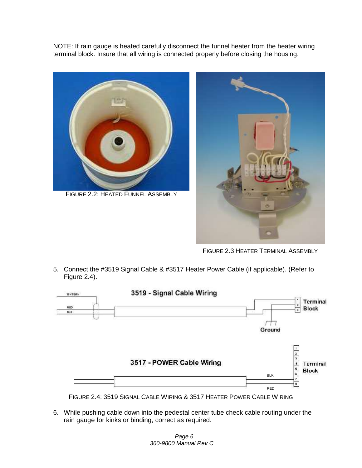NOTE: If rain gauge is heated carefully disconnect the funnel heater from the heater wiring terminal block. Insure that all wiring is connected properly before closing the housing.



FIGURE 2.2: HEATED FUNNEL ASSEMBLY



FIGURE 2.3 HEATER TERMINAL ASSEMBLY

<span id="page-5-1"></span><span id="page-5-0"></span>5. Connect the #3519 Signal Cable & #3517 Heater Power Cable (if applicable). (Refer to Figure 2.4).



FIGURE 2.4: 3519 SIGNAL CABLE WIRING & 3517 HEATER POWER CABLE WIRING

<span id="page-5-2"></span>6. While pushing cable down into the pedestal center tube check cable routing under the rain gauge for kinks or binding, correct as required.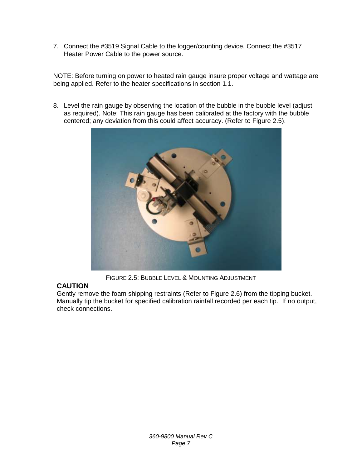7. Connect the #3519 Signal Cable to the logger/counting device. Connect the #3517 Heater Power Cable to the power source.

NOTE: Before turning on power to heated rain gauge insure proper voltage and wattage are being applied. Refer to the heater specifications in section 1.1.

8. Level the rain gauge by observing the location of the bubble in the bubble level (adjust as required). Note: This rain gauge has been calibrated at the factory with the bubble centered; any deviation from this could affect accuracy. (Refer to Figure 2.5).



FIGURE 2.5: BUBBLE LEVEL & MOUNTING ADJUSTMENT

#### <span id="page-6-0"></span>**CAUTION**

Gently remove the foam shipping restraints (Refer to Figure 2.6) from the tipping bucket. Manually tip the bucket for specified calibration rainfall recorded per each tip. If no output, check connections.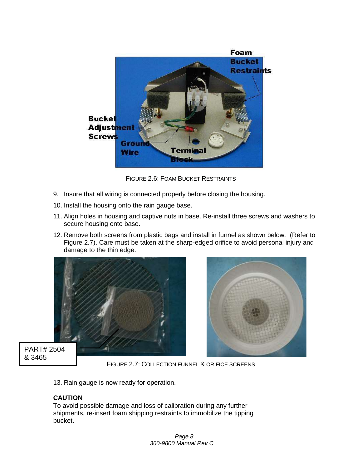

FIGURE 2.6: FOAM BUCKET RESTRAINTS

- <span id="page-7-0"></span>9. Insure that all wiring is connected properly before closing the housing.
- 10. Install the housing onto the rain gauge base.
- 11. Align holes in housing and captive nuts in base. Re-install three screws and washers to secure housing onto base.
- 12. Remove both screens from plastic bags and install in funnel as shown below. (Refer to Figure 2.7). Care must be taken at the sharp-edged orifice to avoid personal injury and damage to the thin edge.





PART# 2504 & 3465

FIGURE 2.7: COLLECTION FUNNEL & ORIFICE SCREENS

<span id="page-7-1"></span>13. Rain gauge is now ready for operation.

#### **CAUTION**

To avoid possible damage and loss of calibration during any further shipments, re-insert foam shipping restraints to immobilize the tipping bucket.

> *Page 8 360-9800 Manual Rev C*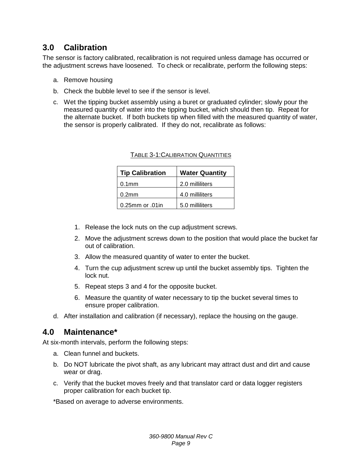## <span id="page-8-0"></span>**3.0 Calibration**

The sensor is factory calibrated, recalibration is not required unless damage has occurred or the adjustment screws have loosened. To check or recalibrate, perform the following steps:

- a. Remove housing
- b. Check the bubble level to see if the sensor is level.
- <span id="page-8-2"></span>c. Wet the tipping bucket assembly using a buret or graduated cylinder; slowly pour the measured quantity of water into the tipping bucket, which should then tip. Repeat for the alternate bucket. If both buckets tip when filled with the measured quantity of water, the sensor is properly calibrated. If they do not, recalibrate as follows:

| <b>Tip Calibration</b> | <b>Water Quantity</b> |  |
|------------------------|-----------------------|--|
| 0.1 <sub>mm</sub>      | 2.0 milliliters       |  |
| 0.2 <sub>mm</sub>      | 4.0 milliliters       |  |
| 0.25mm or .01in        | 5.0 milliliters       |  |

#### TABLE 3-1:CALIBRATION QUANTITIES

- 1. Release the lock nuts on the cup adjustment screws.
- 2. Move the adjustment screws down to the position that would place the bucket far out of calibration.
- 3. Allow the measured quantity of water to enter the bucket.
- 4. Turn the cup adjustment screw up until the bucket assembly tips. Tighten the lock nut.
- 5. Repeat steps 3 and 4 for the opposite bucket.
- 6. Measure the quantity of water necessary to tip the bucket several times to ensure proper calibration.
- d. After installation and calibration (if necessary), replace the housing on the gauge.

## <span id="page-8-1"></span>**4.0 Maintenance\***

At six-month intervals, perform the following steps:

- a. Clean funnel and buckets.
- b. Do NOT lubricate the pivot shaft, as any lubricant may attract dust and dirt and cause wear or drag.
- c. Verify that the bucket moves freely and that translator card or data logger registers proper calibration for each bucket tip.

\*Based on average to adverse environments.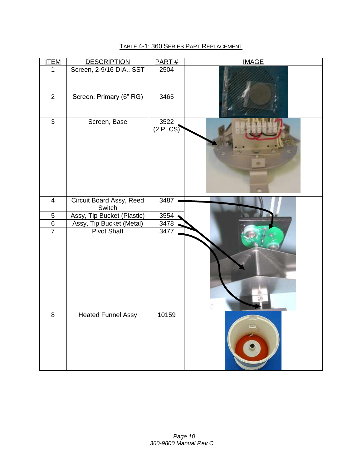## TABLE 4-1: 360 SERIES PART REPLACEMENT

<span id="page-9-0"></span>

| <b>ITEM</b>    | <b>DESCRIPTION</b>                 | PART#              | <b>IMAGE</b>     |
|----------------|------------------------------------|--------------------|------------------|
| $\mathbf{1}$   | Screen, 2-9/16 DIA., SST           | 2504               |                  |
| $\overline{2}$ | Screen, Primary (6" RG)            | 3465               |                  |
| $\overline{3}$ | Screen, Base                       | 3522<br>$(2$ PLCS) |                  |
| $\overline{4}$ | Circuit Board Assy, Reed<br>Switch | 3487               |                  |
| $\overline{5}$ | Assy, Tip Bucket (Plastic)         | 3554               |                  |
| $\overline{6}$ | Assy, Tip Bucket (Metal)           | 3478               |                  |
| $\overline{7}$ | <b>Pivot Shaft</b>                 | 3477               |                  |
| $\bf 8$        | <b>Heated Funnel Assy</b>          | 10159              | TCT <sub>1</sub> |